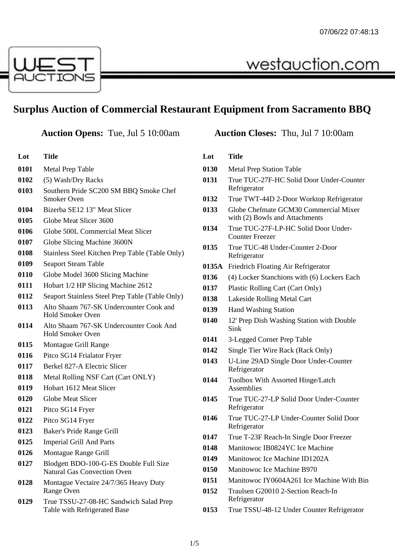

## **Surplus Auction of Commercial Restaurant Equipment from Sacramento BBQ**

| Lot  | <b>Title</b>                                                                 |  |  |
|------|------------------------------------------------------------------------------|--|--|
| 0101 | <b>Metal Prep Table</b>                                                      |  |  |
| 0102 | (5) Wash/Dry Racks                                                           |  |  |
| 0103 | Southern Pride SC200 SM BBQ Smoke Chef<br>Smoker Oven                        |  |  |
| 0104 | Bizerba SE12 13" Meat Slicer                                                 |  |  |
| 0105 | Globe Meat Slicer 3600                                                       |  |  |
| 0106 | Globe 500L Commercial Meat Slicer                                            |  |  |
| 0107 | Globe Slicing Machine 3600N                                                  |  |  |
| 0108 | Stainless Steel Kitchen Prep Table (Table Only)                              |  |  |
| 0109 | <b>Seaport Steam Table</b>                                                   |  |  |
| 0110 | Globe Model 3600 Slicing Machine                                             |  |  |
| 0111 | Hobart 1/2 HP Slicing Machine 2612                                           |  |  |
| 0112 | Seaport Stainless Steel Prep Table (Table Only)                              |  |  |
| 0113 | Alto Shaam 767-SK Undercounter Cook and<br><b>Hold Smoker Oven</b>           |  |  |
| 0114 | Alto Shaam 767-SK Undercounter Cook And<br><b>Hold Smoker Oven</b>           |  |  |
| 0115 | Montague Grill Range                                                         |  |  |
| 0116 | Pitco SG14 Frialator Fryer                                                   |  |  |
| 0117 | Berkel 827-A Electric Slicer                                                 |  |  |
| 0118 | Metal Rolling NSF Cart (Cart ONLY)                                           |  |  |
| 0119 | Hobart 1612 Meat Slicer                                                      |  |  |
| 0120 | <b>Globe Meat Slicer</b>                                                     |  |  |
| 0121 | Pitco SG14 Fryer                                                             |  |  |
| 0122 | Pitco SG14 Fryer                                                             |  |  |
| 0123 | Baker's Pride Range Grill                                                    |  |  |
| 0125 | <b>Imperial Grill And Parts</b>                                              |  |  |
| 0126 | Montague Range Grill                                                         |  |  |
| 0127 | Blodgett BDO-100-G-ES Double Full Size<br><b>Natural Gas Convection Oven</b> |  |  |
| 0128 | Montague Vectaire 24/7/365 Heavy Duty<br>Range Oven                          |  |  |
| 0129 | True TSSU-27-08-HC Sandwich Salad Prep<br>Table with Refrigerated Base       |  |  |

## **Auction Opens:** Tue, Jul 5 10:00am **Auction Closes:** Thu, Jul 7 10:00am

westauction.com

## **Lot Title**

- Metal Prep Station Table
- True TUC-27F-HC Solid Door Under-Counter Refrigerator
- True TWT-44D 2-Door Worktop Refrigerator
- Globe Chefmate GCM30 Commercial Mixer with (2) Bowls and Attachments
- True TUC-27F-LP-HC Solid Door Under-Counter Freezer
- True TUC-48 Under-Counter 2-Door Refrigerator
- **0135A** Friedrich Floating Air Refrigerator
- (4) Locker Stanchions with (6) Lockers Each
- Plastic Rolling Cart (Cart Only)
- Lakeside Rolling Metal Cart
- Hand Washing Station
- 12' Prep Dish Washing Station with Double Sink
- 3-Legged Corner Prep Table
- Single Tier Wire Rack (Rack Only)
- U-Line 29AD Single Door Under-Counter Refrigerator
- Toolbox With Assorted Hinge/Latch Assemblies
- True TUC-27-LP Solid Door Under-Counter Refrigerator
- True TUC-27-LP Under-Counter Solid Door Refrigerator
- True T-23F Reach-In Single Door Freezer
- Manitowoc IB0824YC Ice Machine
- Manitowoc Ice Machine ID1202A
- Manitowoc Ice Machine B970
- Manitowoc IY0604A261 Ice Machine With Bin
- Traulsen G20010 2-Section Reach-In Refrigerator
- True TSSU-48-12 Under Counter Refrigerator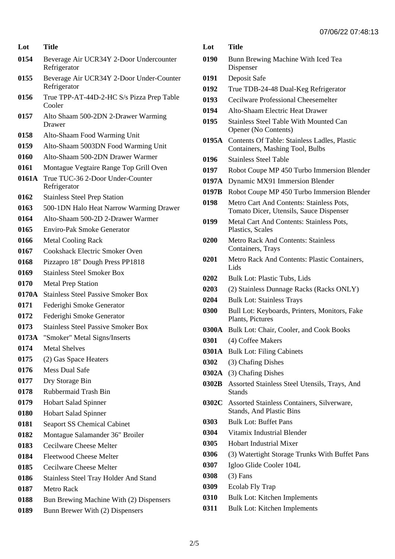| Lot   | Title                                                    |  |
|-------|----------------------------------------------------------|--|
| 0154  | Beverage Air UCR34Y 2-Door Undercounter<br>Refrigerator  |  |
| 0155  | Beverage Air UCR34Y 2-Door Under-Counter<br>Refrigerator |  |
| 0156  | True TPP-AT-44D-2-HC S/s Pizza Prep Table<br>Cooler      |  |
| 0157  | Alto Shaam 500-2DN 2-Drawer Warming<br>Drawer            |  |
| 0158  | Alto-Shaam Food Warming Unit                             |  |
| 0159  | Alto-Shaam 5003DN Food Warming Unit                      |  |
| 0160  | Alto-Shaam 500-2DN Drawer Warmer                         |  |
| 0161  | Montague Vegtaire Range Top Grill Oven                   |  |
| 0161A | True TUC-36 2-Door Under-Counter<br>Refrigerator         |  |
| 0162  | <b>Stainless Steel Prep Station</b>                      |  |
| 0163  | 500-1DN Halo Heat Narrow Warming Drawer                  |  |
| 0164  | Alto-Shaam 500-2D 2-Drawer Warmer                        |  |
| 0165  | <b>Enviro-Pak Smoke Generator</b>                        |  |
| 0166  | <b>Metal Cooling Rack</b>                                |  |
| 0167  | <b>Cookshack Electric Smoker Oven</b>                    |  |
| 0168  | Pizzapro 18" Dough Press PP1818                          |  |
| 0169  | <b>Stainless Steel Smoker Box</b>                        |  |
| 0170  | <b>Metal Prep Station</b>                                |  |
| 0170A | <b>Stainless Steel Passive Smoker Box</b>                |  |
| 0171  | Federighi Smoke Generator                                |  |
| 0172  | Federighi Smoke Generator                                |  |
| 0173  | <b>Stainless Steel Passive Smoker Box</b>                |  |
| 0173A | "Smoker" Metal Signs/Inserts                             |  |
| 0174  | <b>Metal Shelves</b>                                     |  |
| 0175  | (2) Gas Space Heaters                                    |  |
| 0176  | <b>Mess Dual Safe</b>                                    |  |
| 0177  | Dry Storage Bin                                          |  |
| 0178  | Rubbermaid Trash Bin                                     |  |
| 0179  | <b>Hobart Salad Spinner</b>                              |  |
| 0180  | <b>Hobart Salad Spinner</b>                              |  |
| 0181  | <b>Seaport SS Chemical Cabinet</b>                       |  |
| 0182  | Montague Salamander 36" Broiler                          |  |
| 0183  | Cecilware Cheese Melter                                  |  |
| 0184  | <b>Fleetwood Cheese Melter</b>                           |  |
| 0185  | Cecilware Cheese Melter                                  |  |
| 0186  | <b>Stainless Steel Tray Holder And Stand</b>             |  |
| 0187  | <b>Metro Rack</b>                                        |  |
| 0188  | Bun Brewing Machine With (2) Dispensers                  |  |
| 0189  | Bunn Brewer With (2) Dispensers                          |  |

| Lot | Title |
|-----|-------|
|     |       |

- Bunn Brewing Machine With Iced Tea Dispenser
- Deposit Safe
- True TDB-24-48 Dual-Keg Refrigerator
- Cecilware Professional Cheesemelter
- Alto-Shaam Electric Heat Drawer
- Stainless Steel Table With Mounted Can Opener (No Contents)
- **0195A** Contents Of Table: Stainless Ladles, Plastic Containers, Mashing Tool, Bulbs
- Stainless Steel Table
- Robot Coupe MP 450 Turbo Immersion Blender
- **0197A** Dynamic MX91 Immersion Blender
- **0197B** Robot Coupe MP 450 Turbo Immersion Blender
- Metro Cart And Contents: Stainless Pots, Tomato Dicer, Utensils, Sauce Dispenser
- Metal Cart And Contents: Stainless Pots, Plastics, Scales
- Metro Rack And Contents: Stainless Containers, Trays
- Metro Rack And Contents: Plastic Containers, Lids
- Bulk Lot: Plastic Tubs, Lids
- (2) Stainless Dunnage Racks (Racks ONLY)
- Bulk Lot: Stainless Trays
- Bull Lot: Keyboards, Printers, Monitors, Fake Plants, Pictures
- **0300A** Bulk Lot: Chair, Cooler, and Cook Books
- (4) Coffee Makers
- **0301A** Bulk Lot: Filing Cabinets
- (3) Chafing Dishes
- **0302A** (3) Chafing Dishes
- **0302B** Assorted Stainless Steel Utensils, Trays, And **Stands**
- **0302C** Assorted Stainless Containers, Silverware, Stands, And Plastic Bins
- Bulk Lot: Buffet Pans
- Vitamix Industrial Blender
- Hobart Industrial Mixer
- (3) Watertight Storage Trunks With Buffet Pans
- Igloo Glide Cooler 104L
- (3) Fans
- Ecolab Fly Trap
- Bulk Lot: Kitchen Implements
- Bulk Lot: Kitchen Implements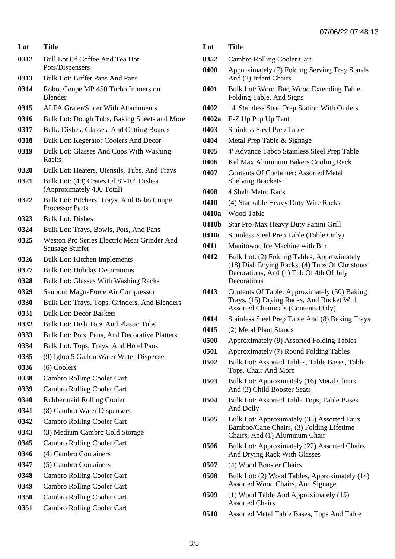| Lot  | Title                                                                 |  |  |
|------|-----------------------------------------------------------------------|--|--|
| 0312 | <b>Bull Lot Of Coffee And Tea Hot</b><br>Pots/Dispensers              |  |  |
| 0313 | <b>Bulk Lot: Buffet Pans And Pans</b>                                 |  |  |
| 0314 | Robot Coupe MP 450 Turbo Immersion<br><b>Blender</b>                  |  |  |
| 0315 | <b>ALFA Grater/Slicer With Attachments</b>                            |  |  |
| 0316 | Bulk Lot: Dough Tubs, Baking Sheets and More                          |  |  |
| 0317 | Bulk: Dishes, Glasses, And Cutting Boards                             |  |  |
| 0318 | <b>Bulk Lot: Kegerator Coolers And Decor</b>                          |  |  |
| 0319 | Bulk Lot: Glasses And Cups With Washing<br>Racks                      |  |  |
| 0320 | Bulk Lot: Heaters, Utensils, Tubs, And Trays                          |  |  |
| 0321 | Bulk Lot: (49) Crates Of 8"-10" Dishes<br>(Approximately 400 Total)   |  |  |
| 0322 | Bulk Lot: Pitchers, Trays, And Robo Coupe<br><b>Processor Parts</b>   |  |  |
| 0323 | <b>Bulk Lot: Dishes</b>                                               |  |  |
| 0324 | Bulk Lot: Trays, Bowls, Pots, And Pans                                |  |  |
| 0325 | Weston Pro Series Electric Meat Grinder And<br><b>Sausage Stuffer</b> |  |  |
| 0326 | <b>Bulk Lot: Kitchen Implements</b>                                   |  |  |
| 0327 | <b>Bulk Lot: Holiday Decorations</b>                                  |  |  |
| 0328 | <b>Bulk Lot: Glasses With Washing Racks</b>                           |  |  |
| 0329 | Sanborn MagnaForce Air Compressor                                     |  |  |
| 0330 | Bulk Lot: Trays, Tops, Grinders, And Blenders                         |  |  |
| 0331 | <b>Bulk Lot: Decor Baskets</b>                                        |  |  |
| 0332 | Bulk Lot: Dish Tops And Plastic Tubs                                  |  |  |
| 0333 | Bulk Lot: Pots, Pans, And Decorative Platters                         |  |  |
| 0334 | Bulk Lot: Tops, Trays, And Hotel Pans                                 |  |  |
| 0335 | (9) Igloo 5 Gallon Water Water Dispenser                              |  |  |
| 0336 | (6) Coolers                                                           |  |  |
| 0338 | <b>Cambro Rolling Cooler Cart</b>                                     |  |  |
| 0339 | <b>Cambro Rolling Cooler Cart</b>                                     |  |  |
| 0340 | Rubbermaid Rolling Cooler                                             |  |  |
| 0341 | (8) Cambro Water Dispensers                                           |  |  |
| 0342 | <b>Cambro Rolling Cooler Cart</b>                                     |  |  |
| 0343 | (3) Medium Cambro Cold Storage                                        |  |  |
| 0345 | <b>Cambro Rolling Cooler Cart</b>                                     |  |  |
| 0346 | (4) Cambro Containers                                                 |  |  |
| 0347 | (5) Cambro Containers                                                 |  |  |
| 0348 | <b>Cambro Rolling Cooler Cart</b>                                     |  |  |
| 0349 | <b>Cambro Rolling Cooler Cart</b>                                     |  |  |
| 0350 | <b>Cambro Rolling Cooler Cart</b>                                     |  |  |
| 0351 | <b>Cambro Rolling Cooler Cart</b>                                     |  |  |

| Lot   | Title                                                                                                                                                  |  |
|-------|--------------------------------------------------------------------------------------------------------------------------------------------------------|--|
| 0352  | <b>Cambro Rolling Cooler Cart</b>                                                                                                                      |  |
| 0400  | Approximately (7) Folding Serving Tray Stands<br>And (2) Infant Chairs                                                                                 |  |
| 0401  | Bulk Lot: Wood Bar, Wood Extending Table,<br>Folding Table, And Signs                                                                                  |  |
| 0402  | 14' Stainless Steel Prep Station With Outlets                                                                                                          |  |
| 0402a | E-Z Up Pop Up Tent                                                                                                                                     |  |
| 0403  | <b>Stainless Steel Prep Table</b>                                                                                                                      |  |
| 0404  | Metal Prep Table & Signage                                                                                                                             |  |
| 0405  | 4' Advance Tabco Stainless Steel Prep Table                                                                                                            |  |
| 0406  | Kel Max Aluminum Bakers Cooling Rack                                                                                                                   |  |
| 0407  | <b>Contents Of Container: Assorted Metal</b><br><b>Shelving Brackets</b>                                                                               |  |
| 0408  | 4 Shelf Metro Rack                                                                                                                                     |  |
| 0410  | (4) Stackable Heavy Duty Wire Racks                                                                                                                    |  |
| 0410a | <b>Wood Table</b>                                                                                                                                      |  |
| 0410b | Star Pro-Max Heavy Duty Panini Grill                                                                                                                   |  |
| 0410c | Stainless Steel Prep Table (Table Only)                                                                                                                |  |
| 0411  | Manitowoc Ice Machine with Bin                                                                                                                         |  |
| 0412  | Bulk Lot: (2) Folding Tables, Approximately<br>(18) Dish Drying Racks, (4) Tubs Of Christmas<br>Decorations, And (1) Tub Of 4th Of July<br>Decorations |  |
| 0413  | Contents Of Table: Approximately (50) Baking<br>Trays, (15) Drying Racks, And Bucket With<br><b>Assorted Chemicals (Contents Only)</b>                 |  |
| 0414  | Stainless Steel Prep Table And (8) Baking Trays                                                                                                        |  |
| 0415  | (2) Metal Plant Stands                                                                                                                                 |  |
| 0500  | Approximately (9) Assorted Folding Tables                                                                                                              |  |
| 0501  | Approximately (7) Round Folding Tables                                                                                                                 |  |
| 0502  | Bulk Lot: Assorted Tables, Table Bases, Table<br>Tops, Chair And More                                                                                  |  |
| 0503  | Bulk Lot: Approximately (16) Metal Chairs<br>And (3) Child Booster Seats                                                                               |  |
| 0504  | Bulk Lot: Assorted Table Tops, Table Bases<br>And Dolly                                                                                                |  |
| 0505  | Bulk Lot: Approximately (35) Assorted Faux<br>Bamboo/Cane Chairs, (3) Folding Lifetime<br>Chairs, And (1) Aluminum Chair                               |  |
| 0506  | Bulk Lot: Approximately (22) Assorted Chairs<br>And Drying Rack With Glasses                                                                           |  |
| 0507  | (4) Wood Booster Chairs                                                                                                                                |  |
| 0508  | Bulk Lot: (2) Wood Tables, Approximately (14)<br>Assorted Wood Chairs, And Signage                                                                     |  |
| 0509  | (1) Wood Table And Approximately (15)<br><b>Assorted Chairs</b>                                                                                        |  |

Assorted Metal Table Bases, Tops And Table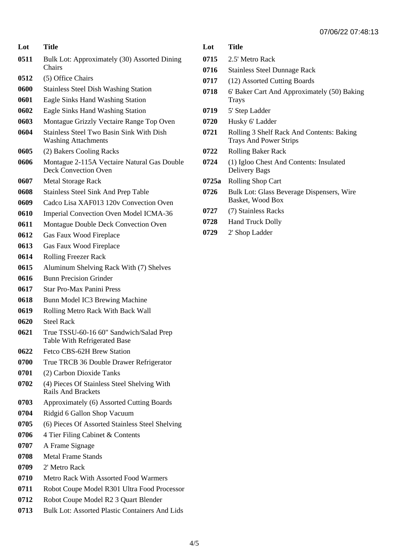| Lot  | Title                                                                          |  |
|------|--------------------------------------------------------------------------------|--|
| 0511 | Bulk Lot: Approximately (30) Assorted Dining<br>Chairs                         |  |
| 0512 | (5) Office Chairs                                                              |  |
| 0600 | <b>Stainless Steel Dish Washing Station</b>                                    |  |
| 0601 | Eagle Sinks Hand Washing Station                                               |  |
| 0602 | Eagle Sinks Hand Washing Station                                               |  |
| 0603 | Montague Grizzly Vectaire Range Top Oven                                       |  |
| 0604 | <b>Stainless Steel Two Basin Sink With Dish</b><br><b>Washing Attachments</b>  |  |
| 0605 | (2) Bakers Cooling Racks                                                       |  |
| 0606 | Montague 2-115A Vectaire Natural Gas Double<br><b>Deck Convection Oven</b>     |  |
| 0607 | <b>Metal Storage Rack</b>                                                      |  |
| 0608 | <b>Stainless Steel Sink And Prep Table</b>                                     |  |
| 0609 | Cadco Lisa XAF013 120v Convection Oven                                         |  |
| 0610 | <b>Imperial Convection Oven Model ICMA-36</b>                                  |  |
| 0611 | Montague Double Deck Convection Oven                                           |  |
| 0612 | Gas Faux Wood Fireplace                                                        |  |
| 0613 | Gas Faux Wood Fireplace                                                        |  |
| 0614 | <b>Rolling Freezer Rack</b>                                                    |  |
| 0615 | Aluminum Shelving Rack With (7) Shelves                                        |  |
| 0616 | <b>Bunn Precision Grinder</b>                                                  |  |
| 0617 | <b>Star Pro-Max Panini Press</b>                                               |  |
| 0618 | Bunn Model IC3 Brewing Machine                                                 |  |
| 0619 | Rolling Metro Rack With Back Wall                                              |  |
| 0620 | <b>Steel Rack</b>                                                              |  |
| 0621 | True TSSU-60-16 60" Sandwich/Salad Prep<br><b>Table With Refrigerated Base</b> |  |
| 0622 | Fetco CBS-62H Brew Station                                                     |  |
| 0700 | True TRCB 36 Double Drawer Refrigerator                                        |  |
| 0701 | (2) Carbon Dioxide Tanks                                                       |  |
| 0702 | (4) Pieces Of Stainless Steel Shelving With<br><b>Rails And Brackets</b>       |  |
| 0703 | Approximately (6) Assorted Cutting Boards                                      |  |
| 0704 | Ridgid 6 Gallon Shop Vacuum                                                    |  |
| 0705 | (6) Pieces Of Assorted Stainless Steel Shelving                                |  |
| 0706 | 4 Tier Filing Cabinet & Contents                                               |  |
| 0707 | A Frame Signage                                                                |  |
| 0708 | <b>Metal Frame Stands</b>                                                      |  |
| 0709 | 2' Metro Rack                                                                  |  |
| 0710 | <b>Metro Rack With Assorted Food Warmers</b>                                   |  |
| 0711 | Robot Coupe Model R301 Ultra Food Processor                                    |  |
| 0712 | Robot Coupe Model R2 3 Quart Blender                                           |  |
| 0713 | Bulk Lot: Assorted Plastic Containers And Lids                                 |  |

| Lot | Title |
|-----|-------|
|     |       |

- 2.5' Metro Rack
- Stainless Steel Dunnage Rack
- (12) Assorted Cutting Boards
- 6' Baker Cart And Approximately (50) Baking Trays
- 5' Step Ladder
- Husky 6' Ladder
- Rolling 3 Shelf Rack And Contents: Baking Trays And Power Strips
- Rolling Baker Rack
- (1) Igloo Chest And Contents: Insulated Delivery Bags
- **0725a** Rolling Shop Cart
- 0726 Bulk Lot: Glass Beverage Dispensers, Wire Basket, Wood Box
- (7) Stainless Racks
- Hand Truck Dolly
- 2' Shop Ladder